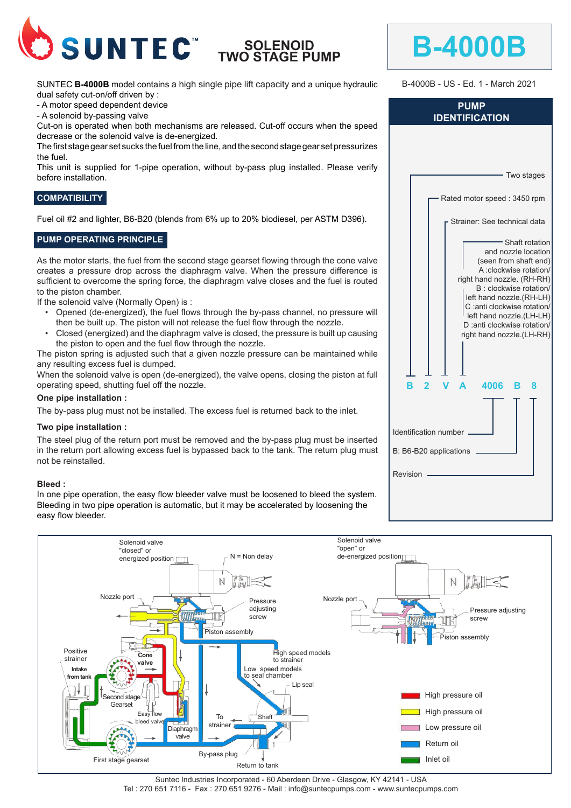

# **SOLENOID TWO STAGE PUMP**

SUNTEC **B-4000B** model contains a high single pipe lift capacity and a unique hydraulic dual safety cut-on/off driven by :

- A motor speed dependent device

- A solenoid by-passing valve

Cut-on is operated when both mechanisms are released. Cut-off occurs when the speed decrease or the solenoid valve is de-energized.

The first stage gear set sucks the fuel from the line, and the second stage gear set pressurizes the fuel.

This unit is supplied for 1-pipe operation, without by-pass plug installed. Please verify before installation.

### **COMPATIBILITY**

Fuel oil #2 and lighter, B6-B20 (blends from 6% up to 20% biodiesel, per ASTM D396).

### **PUMP OPERATING PRINCIPLE**

As the motor starts, the fuel from the second stage gearset flowing through the cone valve creates a pressure drop across the diaphragm valve. When the pressure difference is sufficient to overcome the spring force, the diaphragm valve closes and the fuel is routed to the piston chamber.

If the solenoid valve (Normally Open) is :

- Opened (de-energized), the fuel flows through the by-pass channel, no pressure will then be built up. The piston will not release the fuel flow through the nozzle.
- Closed (energized) and the diaphragm valve is closed, the pressure is built up causing the piston to open and the fuel flow through the nozzle.

The piston spring is adjusted such that a given nozzle pressure can be maintained while any resulting excess fuel is dumped.

When the solenoid valve is open (de-energized), the valve opens, closing the piston at full operating speed, shutting fuel off the nozzle.

#### **One pipe installation :**

The by-pass plug must not be installed. The excess fuel is returned back to the inlet.

#### **Two pipe installation :**

The steel plug of the return port must be removed and the by-pass plug must be inserted in the return port allowing excess fuel is bypassed back to the tank. The return plug must not be reinstalled.

#### **Bleed :**

In one pipe operation, the easy flow bleeder valve must be loosened to bleed the system. Bleeding in two pipe operation is automatic, but it may be accelerated by loosening the easy flow bleeder.



Suntec Industries Incorporated - 60 Aberdeen Drive - Glasgow, KY 42141 - USA Tel : 270 651 7116 - Fax : 270 651 9276 - Mail : info@suntecpumps.com - www.suntecpumps.com

|                        |    |  |   |                                                                                                                                                                                                                                                             |   | Two stages                              |  |
|------------------------|----|--|---|-------------------------------------------------------------------------------------------------------------------------------------------------------------------------------------------------------------------------------------------------------------|---|-----------------------------------------|--|
|                        |    |  |   | Rated motor speed: 3450 rpm                                                                                                                                                                                                                                 |   |                                         |  |
|                        |    |  |   | Strainer: See technical data                                                                                                                                                                                                                                |   |                                         |  |
|                        |    |  |   | (seen from shaft end)<br>A:clockwise rotation/<br>right hand nozzle. (RH-RH)<br>B : clockwise rotation/<br>left hand nozzle.(RH-LH)<br>C :anti clockwise rotation/<br>left hand nozzle.(LH-LH)<br>D : anti clockwise rotation/<br>right hand nozzle.(LH-RH) |   | - Shaft rotation<br>and nozzle location |  |
|                        | в. |  | Δ | 4006                                                                                                                                                                                                                                                        | В | 8                                       |  |
|                        |    |  |   |                                                                                                                                                                                                                                                             |   |                                         |  |
| Identification number  |    |  |   |                                                                                                                                                                                                                                                             |   |                                         |  |
| B: B6-B20 applications |    |  |   |                                                                                                                                                                                                                                                             |   |                                         |  |
| Revision               |    |  |   |                                                                                                                                                                                                                                                             |   |                                         |  |

 $Rf$ 

**B-4000B**

**PUMP IDENTIFICATION**

B-4000B - US - Ed. 1 - March 2021